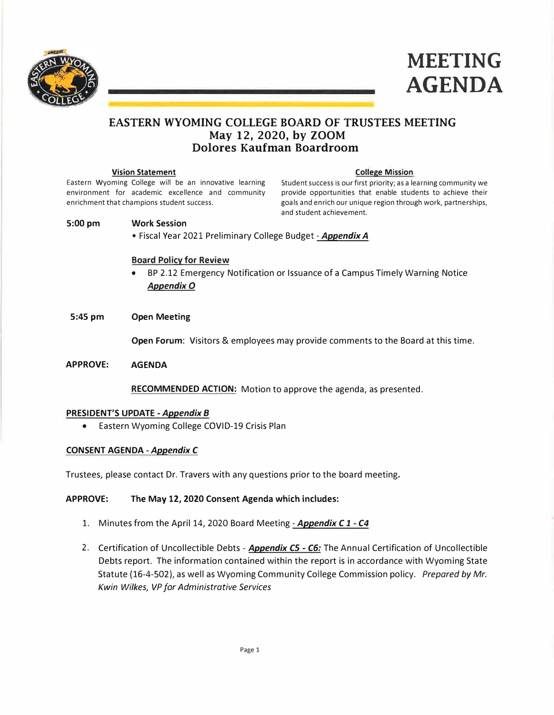



# **EASTERN WYOMING COLLEGE BOARD OF TRUSTEES MEETING May 12, 2020, by ZOOM Dolores Kaufman Boardroom**

#### **Vision Statement College Mission College Mission**

Eastern Wyoming College will be an innovative learning Student success is our first priority; as a learning community we environment for academic excellence and community provide opportunities that enable students to achieve their enrichment that champions student success. goals and enrich our unique region through work, partnerships, and student achievement.

#### **5:00 pm Work Session**

• Fiscal Year 2021 Preliminary College Budget *-Appendix A*

### **Board Policy for Review**

- BP 2.12 Emergency Notification or Issuance of a Campus Timely Warning Notice *AppendixO*
- **5:45 pm Open Meeting**

**Open Forum:** Visitors & employees may provide comments to the Board at this time.

**APPROVE: AGENDA** 

**RECOMMENDED ACTION:** Motion to approve the agenda, as presented.

#### **PRESIDENT'S UPDATE** *-Appendix B*

• Eastern Wyoming College COVID-19 Crisis Plan

#### **CONSENT AGENDA** *-Appendix C*

Trustees, please contact Dr. Travers with any questions prior to the board meeting.

### **APPROVE: The May 12, 2020 Consent Agenda which includes:**

- 1. Minutes from the April 14, 2020 Board Meeting *-Appendix C 1 C4*
- 2. Certification of Uncollectible Debts *Appendix CS C6:* The Annual Certification of Uncollectible Debts report. The information contained within the report is in accordance with Wyoming State Statute (16-4-502), as well as Wyoming Community College Commission policy. *Prepared by Mr. Kwin Wilkes, VP for Administrative Services*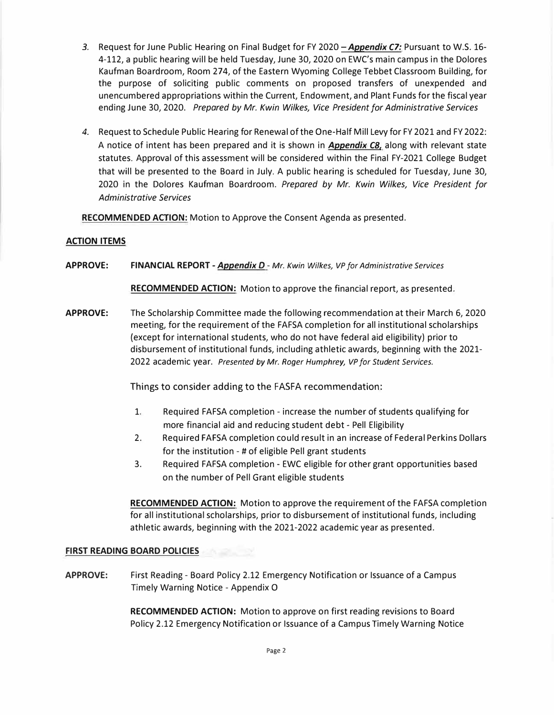- 3. Request for June Public Hearing on Final Budget for FY 2020 **Appendix C7:** Pursuant to W.S. 16-4-112, a public hearing will be held Tuesday, June 30, 2020 on EWC's main campus in the Dolores Kaufman Boardroom, Room 274, of the Eastern Wyoming College Tebbet Classroom Building, for the purpose of soliciting public comments on proposed transfers of unexpended and unencumbered appropriations within the Current, Endowment, and Plant Funds for the fiscal year ending June 30, 2020. *Prepared by Mr. Kwin Wilkes, Vice President for Administrative Services*
- *4.* Request to Schedule Public Hearing for Renewal of the One-Half Mill Levy for FY 2021 and FY 2022: A notice of intent has been prepared and it is shown in *Appendix CB,* along with relevant state statutes. Approval of this assessment will be considered within the Final FY-2021 College Budget that will be presented to the Board in July. A public hearing is scheduled for Tuesday, June 30, 2020 in the Dolores Kaufman Boardroom. *Prepared by Mr. Kwin Wilkes, Vice President for Administrative Services*

**RECOMMENDED ACTION:** Motion to Approve the Consent Agenda as presented.

## **ACTION ITEMS**

**APPROVE: FINANCIAL REPORT -***Appendix D* **-** *Mr. Kwin Wilkes, VP for Administrative Services* 

**RECOMMENDED ACTION:** Motion to approve the financial report, as presented.

**APPROVE:** The Scholarship Committee made the following recommendation at their March 6, 2020 meeting, for the requirement of the FAFSA completion for all institutional scholarships (except for international students, who do not have federal aid eligibility) prior to disbursement of institutional funds, including athletic awards, beginning with the 2021- 2022 academic year. *Presented by Mr. Roger Humphrey, VP for Student Services.* 

Things to consider adding to the FASFA recommendation:

- 1. Required FAFSA completion increase the number of students qualifying for more financial aid and reducing student debt - Pell Eligibility
- 2. Required FAFSA completion could result in an increase of Federal Perkins Dollars for the institution - # of eligible Pell grant students
- 3. Required FAFSA completion EWC eligible for other grant opportunities based on the number of Pell Grant eligible students

**RECOMMENDED ACTION:** Motion to approve the requirement of the FAFSA completion for all institutional scholarships, prior to disbursement of institutional funds, including athletic awards, beginning with the 2021-2022 academic year as presented.

#### **FIRST READING BOARD POLICIES**

**APPROVE:** First Reading - Board Policy 2.12 Emergency Notification or Issuance of a Campus Timely Warning Notice - Appendix O

> **RECOMMENDED ACTION:** Motion to approve on first reading revisions to Board Policy 2.12 Emergency Notification or Issuance of a Campus Timely Warning Notice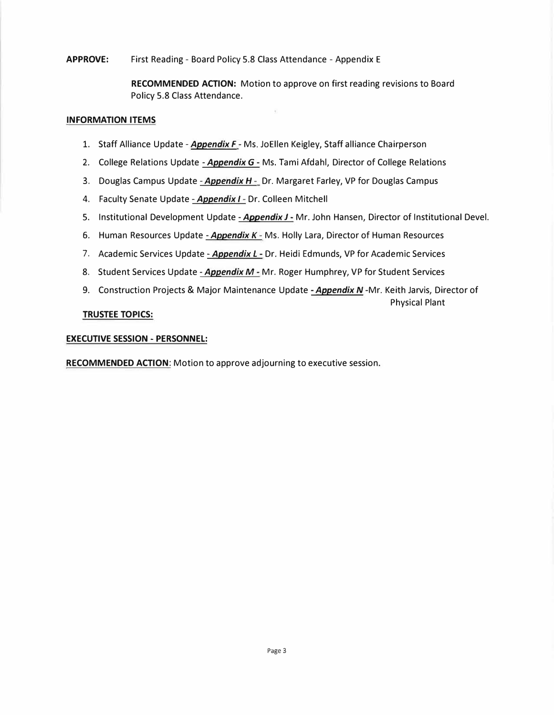## **APPROVE:** First Reading - Board Policy 5.8 Class Attendance - Appendix E

**RECOMMENDED ACTION:** Motion to approve on first reading revisions to Board Policy 5.8 Class Attendance.

### **INFORMATION ITEMS**

- 1. Staff Alliance Update -*Appendix F*  Ms. JoEllen Keigley, Staff alliance Chairperson
- 2. College Relations Update *-Appendix G-* Ms. Tami Afdahl, Director of College Relations
- 3. Douglas Campus Update *-Appendix H*  Dr. Margaret Farley, VP for Douglas Campus
- 4. Faculty Senate Update Appendix I Dr. Colleen Mitchell
- 5. Institutional Development Update *-Appendix J*  Mr. John Hansen, Director of Institutional Devel.
- 6. Human Resources Update *-Appendix K*  Ms. Holly Lara, Director of Human Resources
- 7. Academic Services Update *Appendix L* Dr. Heidi Edmunds, VP for Academic Services
- 8. Student Services Update *-Appendix M*  Mr. Roger Humphrey, VP for Student Services
- 9. Construction Projects & Major Maintenance Update *-Appendix N* -Mr. Keith Jarvis, Director of Physical Plant

## **TRUSTEE TOPICS:**

#### **EXECUTIVE SESSION - PERSONNEL:**

**RECOMMENDED ACTION:** Motion to approve adjourning to executive session.